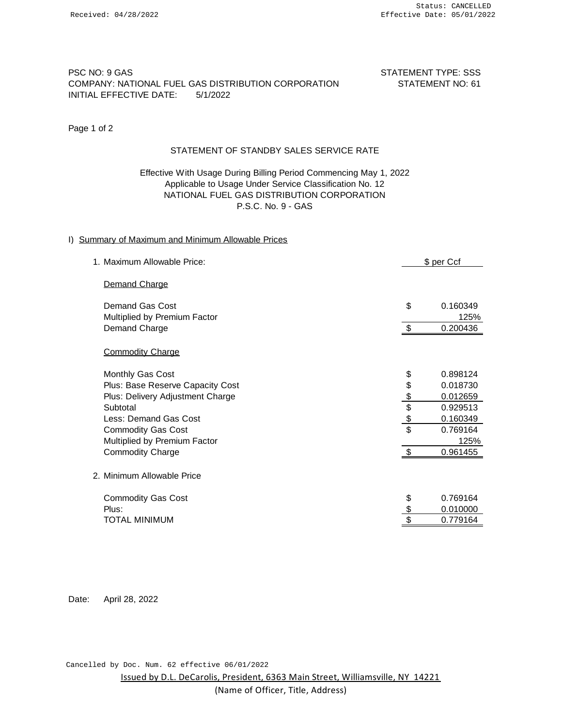# PSC NO: 9 GAS STATEMENT TYPE: SSS COMPANY: NATIONAL FUEL GAS DISTRIBUTION CORPORATION STATEMENT NO: 61 INITIAL EFFECTIVE DATE: 5/1/2022

Page 1 of 2

# STATEMENT OF STANDBY SALES SERVICE RATE

# Effective With Usage During Billing Period Commencing May 1, 2022 Applicable to Usage Under Service Classification No. 12 NATIONAL FUEL GAS DISTRIBUTION CORPORATION P.S.C. No. 9 - GAS

## I) Summary of Maximum and Minimum Allowable Prices

| 1. Maximum Allowable Price:                     |               | \$ per Ccf       |  |
|-------------------------------------------------|---------------|------------------|--|
| Demand Charge                                   |               |                  |  |
| Demand Gas Cost<br>Multiplied by Premium Factor | \$            | 0.160349<br>125% |  |
| Demand Charge                                   | \$            | 0.200436         |  |
| <b>Commodity Charge</b>                         |               |                  |  |
| Monthly Gas Cost                                | \$            | 0.898124         |  |
| Plus: Base Reserve Capacity Cost                |               | 0.018730         |  |
| Plus: Delivery Adjustment Charge                | \$\$\$\$      | 0.012659         |  |
| Subtotal                                        |               | 0.929513         |  |
| Less: Demand Gas Cost                           |               | 0.160349         |  |
| <b>Commodity Gas Cost</b>                       |               | 0.769164         |  |
| Multiplied by Premium Factor                    |               | 125%             |  |
| <b>Commodity Charge</b>                         | \$            | 0.961455         |  |
| 2. Minimum Allowable Price                      |               |                  |  |
| <b>Commodity Gas Cost</b>                       | \$            | 0.769164         |  |
| Plus:                                           | $\frac{6}{9}$ | 0.010000         |  |
| <b>TOTAL MINIMUM</b>                            |               | 0.779164         |  |
|                                                 |               |                  |  |

Date: April 28, 2022

Cancelled by Doc. Num. 62 effective 06/01/2022

Issued by D.L. DeCarolis, President, 6363 Main Street, Williamsville, NY 14221